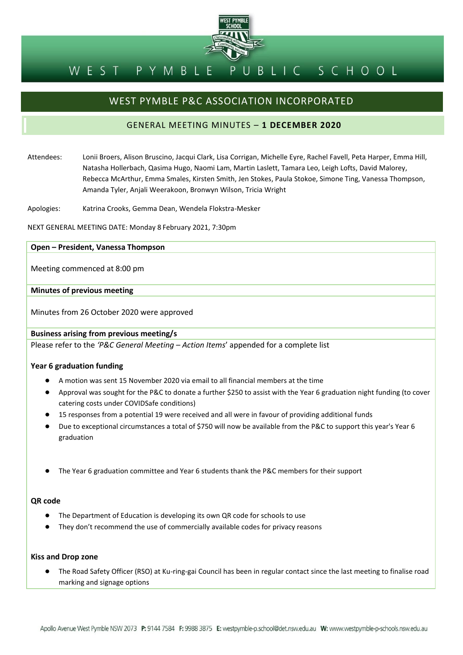

#### UBLIC SCHOOL WEST PYMBLE P

## WEST PYMBLE P&C ASSOCIATION INCORPORATED

## GENERAL MEETING MINUTES – **1 DECEMBER 2020**

Attendees: Lonii Broers, Alison Bruscino, Jacqui Clark, Lisa Corrigan, Michelle Eyre, Rachel Favell, Peta Harper, Emma Hill, Natasha Hollerbach, Qasima Hugo, Naomi Lam, Martin Laslett, Tamara Leo, Leigh Lofts, David Malorey, Rebecca McArthur, Emma Smales, Kirsten Smith, Jen Stokes, Paula Stokoe, Simone Ting, Vanessa Thompson, Amanda Tyler, Anjali Weerakoon, Bronwyn Wilson, Tricia Wright

Apologies: Katrina Crooks, Gemma Dean, Wendela Flokstra-Mesker

NEXT GENERAL MEETING DATE: Monday 8 February 2021, 7:30pm

#### **Open – President, Vanessa Thompson**

Meeting commenced at 8:00 pm

#### **Minutes of previous meeting**

Minutes from 26 October 2020 were approved

**Business arising from previous meeting/s**

Please refer to the *'P&C General Meeting – Action Items*' appended for a complete list

#### **Year 6 graduation funding**

- A motion was sent 15 November 2020 via email to all financial members at the time
- Approval was sought for the P&C to donate a further \$250 to assist with the Year 6 graduation night funding (to cover catering costs under COVIDSafe conditions)
- 15 responses from a potential 19 were received and all were in favour of providing additional funds
- Due to exceptional circumstances a total of \$750 will now be available from the P&C to support this year's Year 6 graduation
- The Year 6 graduation committee and Year 6 students thank the P&C members for their support

#### **QR code**

- The Department of Education is developing its own QR code for schools to use
- They don't recommend the use of commercially available codes for privacy reasons

#### **Kiss and Drop zone**

● The Road Safety Officer (RSO) at Ku-ring-gai Council has been in regular contact since the last meeting to finalise road marking and signage options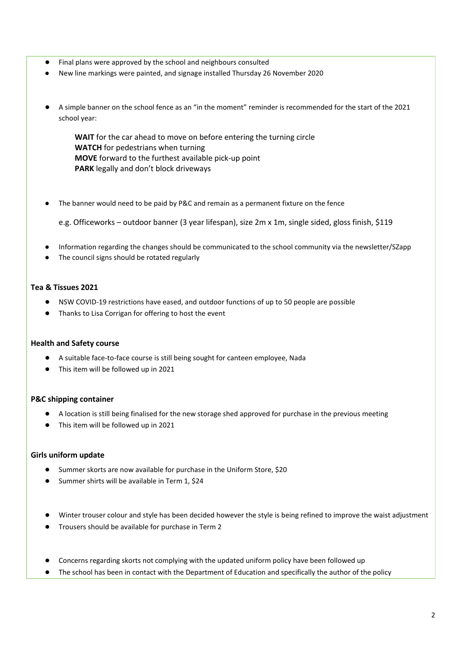- Final plans were approved by the school and neighbours consulted
- New line markings were painted, and signage installed Thursday 26 November 2020
- A simple banner on the school fence as an "in the moment" reminder is recommended for the start of the 2021 school year:

**WAIT** for the car ahead to move on before entering the turning circle **WATCH** for pedestrians when turning **MOVE** forward to the furthest available pick-up point **PARK** legally and don't block driveways

● The banner would need to be paid by P&C and remain as a permanent fixture on the fence

e.g. Officeworks – outdoor banner (3 year lifespan), size 2m x 1m, single sided, gloss finish, \$119

- Information regarding the changes should be communicated to the school community via the newsletter/SZapp
- The council signs should be rotated regularly

#### **Tea & Tissues 2021**

- NSW COVID-19 restrictions have eased, and outdoor functions of up to 50 people are possible
- Thanks to Lisa Corrigan for offering to host the event

#### **Health and Safety course**

- A suitable face-to-face course is still being sought for canteen employee, Nada
- This item will be followed up in 2021

#### **P&C shipping container**

- A location is still being finalised for the new storage shed approved for purchase in the previous meeting
- This item will be followed up in 2021

#### **Girls uniform update**

- Summer skorts are now available for purchase in the Uniform Store, \$20
- Summer shirts will be available in Term 1, \$24
- Winter trouser colour and style has been decided however the style is being refined to improve the waist adjustment
- Trousers should be available for purchase in Term 2
- Concerns regarding skorts not complying with the updated uniform policy have been followed up
- The school has been in contact with the Department of Education and specifically the author of the policy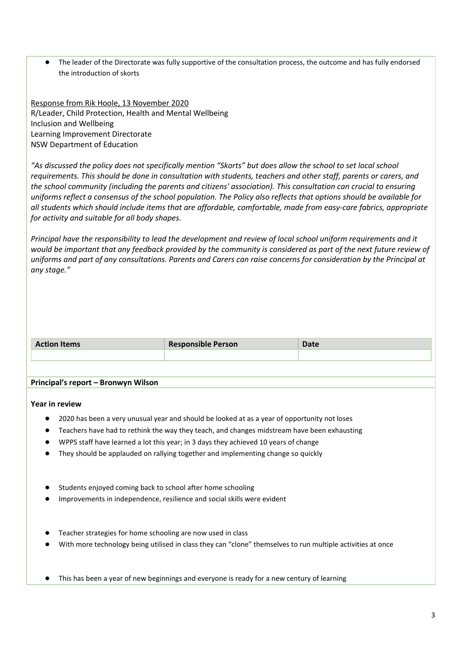● The leader of the Directorate was fully supportive of the consultation process, the outcome and has fully endorsed the introduction of skorts

Response from Rik Hoole, 13 November 2020 R/Leader, Child Protection, Health and Mental Wellbeing Inclusion and Wellbeing Learning Improvement Directorate NSW Department of Education

*"As discussed the policy does not specifically mention "Skorts" but does allow the school to set local school requirements. This should be done in consultation with students, teachers and other staff, parents or carers, and the school community (including the parents and citizens' association). This consultation can crucial to ensuring uniforms reflect a consensus of the school population. The Policy also reflects that options should be available for all students which should include items that are affordable, comfortable, made from easy-care fabrics, appropriate for activity and suitable for all body shapes.*

*Principal have the responsibility to lead the development and review of local school uniform requirements and it*  would be important that any feedback provided by the community is considered as part of the next future review of *uniforms and part of any consultations. Parents and Carers can raise concerns for consideration by the Principal at any stage."*

| <b>Action Items</b> | <b>Responsible Person</b> | . |
|---------------------|---------------------------|---|
|                     |                           |   |

#### **Principal's report – Bronwyn Wilson**

#### **Year in review**

- 2020 has been a very unusual year and should be looked at as a year of opportunity not loses
- Teachers have had to rethink the way they teach, and changes midstream have been exhausting
- WPPS staff have learned a lot this year; in 3 days they achieved 10 years of change
- They should be applauded on rallying together and implementing change so quickly
- Students enjoyed coming back to school after home schooling
- Improvements in independence, resilience and social skills were evident
- Teacher strategies for home schooling are now used in class
- With more technology being utilised in class they can "clone" themselves to run multiple activities at once
- This has been a year of new beginnings and everyone is ready for a new century of learning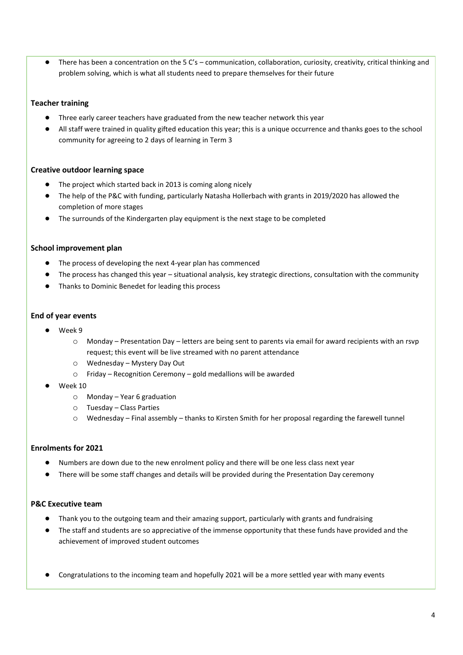● There has been a concentration on the 5 C's – communication, collaboration, curiosity, creativity, critical thinking and problem solving, which is what all students need to prepare themselves for their future

#### **Teacher training**

- Three early career teachers have graduated from the new teacher network this year
- All staff were trained in quality gifted education this year; this is a unique occurrence and thanks goes to the school community for agreeing to 2 days of learning in Term 3

#### **Creative outdoor learning space**

- The project which started back in 2013 is coming along nicely
- The help of the P&C with funding, particularly Natasha Hollerbach with grants in 2019/2020 has allowed the completion of more stages
- The surrounds of the Kindergarten play equipment is the next stage to be completed

#### **School improvement plan**

- The process of developing the next 4-year plan has commenced
- The process has changed this year situational analysis, key strategic directions, consultation with the community
- Thanks to Dominic Benedet for leading this process

#### **End of year events**

- Week 9
	- o Monday Presentation Day letters are being sent to parents via email for award recipients with an rsvp request; this event will be live streamed with no parent attendance
	- o Wednesday Mystery Day Out
	- o Friday Recognition Ceremony gold medallions will be awarded
- Week 10
	- o Monday Year 6 graduation
	- o Tuesday Class Parties
	- o Wednesday Final assembly thanks to Kirsten Smith for her proposal regarding the farewell tunnel

#### **Enrolments for 2021**

- Numbers are down due to the new enrolment policy and there will be one less class next year
- There will be some staff changes and details will be provided during the Presentation Day ceremony

#### **P&C Executive team**

- Thank you to the outgoing team and their amazing support, particularly with grants and fundraising
- The staff and students are so appreciative of the immense opportunity that these funds have provided and the achievement of improved student outcomes
- Congratulations to the incoming team and hopefully 2021 will be a more settled year with many events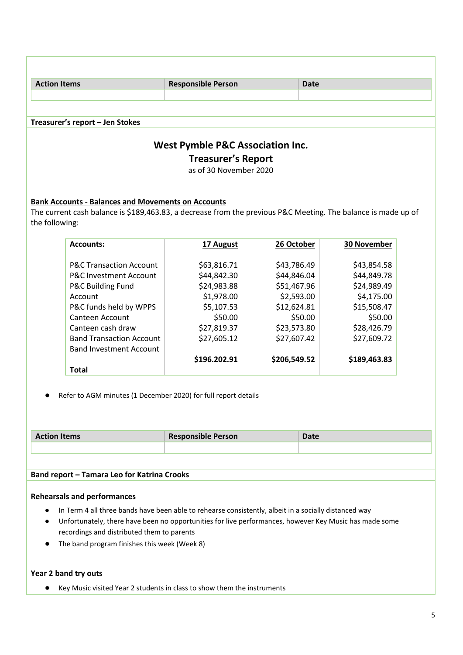| <b>Action Items</b>                         | <b>Responsible Person</b> | <b>Date</b> |
|---------------------------------------------|---------------------------|-------------|
|                                             |                           |             |
|                                             |                           |             |
| Treasurer's report - Jen Stokes             |                           |             |
| <b>West Pymble P&amp;C Association Inc.</b> |                           |             |

# **Treasurer's Report**

as of 30 November 2020

### **Bank Accounts - Balances and Movements on Accounts**

The current cash balance is \$189,463.83, a decrease from the previous P&C Meeting. The balance is made up of the following:

| <b>Accounts:</b>                   | 17 August    | 26 October   | <b>30 November</b> |
|------------------------------------|--------------|--------------|--------------------|
|                                    |              |              |                    |
| <b>P&amp;C Transaction Account</b> | \$63,816.71  | \$43,786.49  | \$43,854.58        |
| <b>P&amp;C Investment Account</b>  | \$44,842.30  | \$44,846.04  | \$44,849.78        |
| P&C Building Fund                  | \$24,983.88  | \$51,467.96  | \$24,989.49        |
| Account                            | \$1,978.00   | \$2,593.00   | \$4,175.00         |
| P&C funds held by WPPS             | \$5,107.53   | \$12,624.81  | \$15,508.47        |
| Canteen Account                    | \$50.00      | \$50.00      | \$50.00            |
| Canteen cash draw                  | \$27,819.37  | \$23,573.80  | \$28,426.79        |
| <b>Band Transaction Account</b>    | \$27,605.12  | \$27,607.42  | \$27,609.72        |
| <b>Band Investment Account</b>     |              |              |                    |
|                                    | \$196.202.91 | \$206,549.52 | \$189,463.83       |
| Total                              |              |              |                    |

● Refer to AGM minutes (1 December 2020) for full report details

| <b>Action Items</b> | <b>Responsible Person</b> | <b>Date</b> |
|---------------------|---------------------------|-------------|
|                     |                           |             |

#### **Band report – Tamara Leo for Katrina Crooks**

#### **Rehearsals and performances**

- In Term 4 all three bands have been able to rehearse consistently, albeit in a socially distanced way
- Unfortunately, there have been no opportunities for live performances, however Key Music has made some recordings and distributed them to parents
- The band program finishes this week (Week 8)

#### **Year 2 band try outs**

● Key Music visited Year 2 students in class to show them the instruments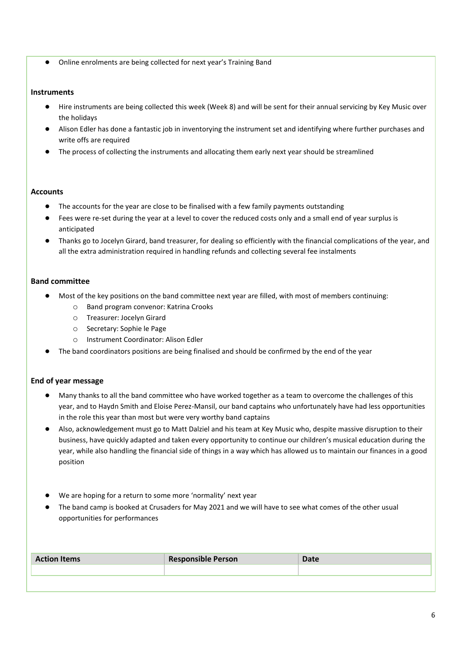● Online enrolments are being collected for next year's Training Band

#### **Instruments**

- Hire instruments are being collected this week (Week 8) and will be sent for their annual servicing by Key Music over the holidays
- Alison Edler has done a fantastic job in inventorying the instrument set and identifying where further purchases and write offs are required
- The process of collecting the instruments and allocating them early next year should be streamlined

#### **Accounts**

- The accounts for the year are close to be finalised with a few family payments outstanding
- Fees were re-set during the year at a level to cover the reduced costs only and a small end of year surplus is anticipated
- Thanks go to Jocelyn Girard, band treasurer, for dealing so efficiently with the financial complications of the year, and all the extra administration required in handling refunds and collecting several fee instalments

#### **Band committee**

- Most of the key positions on the band committee next year are filled, with most of members continuing:
	- o Band program convenor: Katrina Crooks
	- o Treasurer: Jocelyn Girard
	- o Secretary: Sophie le Page
	- o Instrument Coordinator: Alison Edler
- The band coordinators positions are being finalised and should be confirmed by the end of the year

#### **End of year message**

- Many thanks to all the band committee who have worked together as a team to overcome the challenges of this year, and to Haydn Smith and Eloise Perez-Mansil, our band captains who unfortunately have had less opportunities in the role this year than most but were very worthy band captains
- Also, acknowledgement must go to Matt Dalziel and his team at Key Music who, despite massive disruption to their business, have quickly adapted and taken every opportunity to continue our children's musical education during the year, while also handling the financial side of things in a way which has allowed us to maintain our finances in a good position
- We are hoping for a return to some more 'normality' next year
- The band camp is booked at Crusaders for May 2021 and we will have to see what comes of the other usual opportunities for performances

| <b>Action Items</b> | <b>Responsible Person</b> | <b>Date</b> |
|---------------------|---------------------------|-------------|
|                     |                           |             |
|                     |                           |             |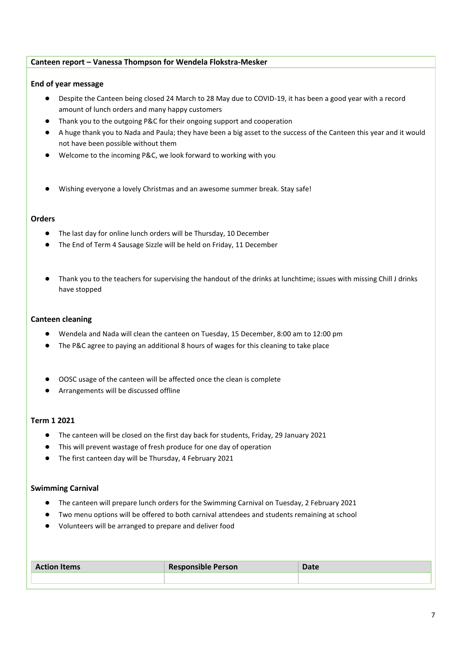#### **Canteen report – Vanessa Thompson for Wendela Flokstra-Mesker**

#### **End of year message**

- Despite the Canteen being closed 24 March to 28 May due to COVID-19, it has been a good year with a record amount of lunch orders and many happy customers
- Thank you to the outgoing P&C for their ongoing support and cooperation
- A huge thank you to Nada and Paula; they have been a big asset to the success of the Canteen this year and it would not have been possible without them
- Welcome to the incoming P&C, we look forward to working with you
- Wishing everyone a lovely Christmas and an awesome summer break. Stay safe!

#### **Orders**

- The last day for online lunch orders will be Thursday, 10 December
- The End of Term 4 Sausage Sizzle will be held on Friday, 11 December
- Thank you to the teachers for supervising the handout of the drinks at lunchtime; issues with missing Chill J drinks have stopped

#### **Canteen cleaning**

- Wendela and Nada will clean the canteen on Tuesday, 15 December, 8:00 am to 12:00 pm
- The P&C agree to paying an additional 8 hours of wages for this cleaning to take place
- OOSC usage of the canteen will be affected once the clean is complete
- Arrangements will be discussed offline

#### **Term 1 2021**

- The canteen will be closed on the first day back for students, Friday, 29 January 2021
- This will prevent wastage of fresh produce for one day of operation
- The first canteen day will be Thursday, 4 February 2021

#### **Swimming Carnival**

- The canteen will prepare lunch orders for the Swimming Carnival on Tuesday, 2 February 2021
- Two menu options will be offered to both carnival attendees and students remaining at school
- Volunteers will be arranged to prepare and deliver food

| <b>Action Items</b> | <b>Responsible Person</b> | Date |
|---------------------|---------------------------|------|
|                     |                           |      |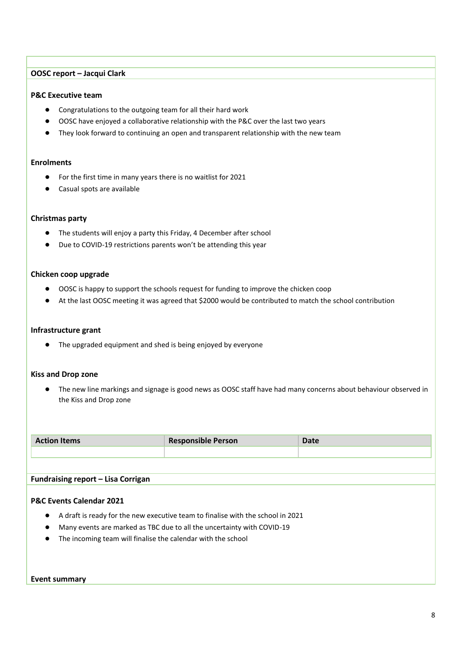#### **OOSC report – Jacqui Clark**

#### **P&C Executive team**

- Congratulations to the outgoing team for all their hard work
- OOSC have enjoyed a collaborative relationship with the P&C over the last two years
- They look forward to continuing an open and transparent relationship with the new team

#### **Enrolments**

- For the first time in many years there is no waitlist for 2021
- Casual spots are available

#### **Christmas party**

- The students will enjoy a party this Friday, 4 December after school
- Due to COVID-19 restrictions parents won't be attending this year

#### **Chicken coop upgrade**

- OOSC is happy to support the schools request for funding to improve the chicken coop
- At the last OOSC meeting it was agreed that \$2000 would be contributed to match the school contribution

#### **Infrastructure grant**

● The upgraded equipment and shed is being enjoyed by everyone

#### **Kiss and Drop zone**

● The new line markings and signage is good news as OOSC staff have had many concerns about behaviour observed in the Kiss and Drop zone

| <b>Action Items</b> | <b>Responsible Person</b> | <b>Date</b> |
|---------------------|---------------------------|-------------|
|                     |                           |             |

#### **Fundraising report – Lisa Corrigan**

#### **P&C Events Calendar 2021**

- A draft is ready for the new executive team to finalise with the school in 2021
- Many events are marked as TBC due to all the uncertainty with COVID-19
- The incoming team will finalise the calendar with the school

#### **Event summary**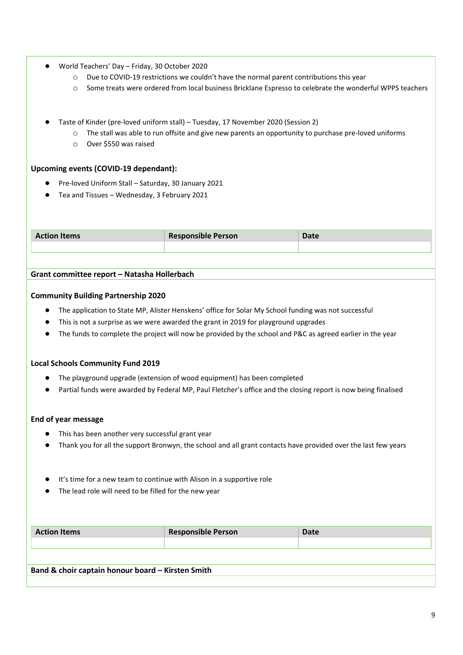- World Teachers' Day Friday, 30 October 2020
	- o Due to COVID-19 restrictions we couldn't have the normal parent contributions this year
	- o Some treats were ordered from local business Bricklane Espresso to celebrate the wonderful WPPS teachers
- Taste of Kinder (pre-loved uniform stall) Tuesday, 17 November 2020 (Session 2)
	- o The stall was able to run offsite and give new parents an opportunity to purchase pre-loved uniforms
	- o Over \$550 was raised

#### **Upcoming events (COVID-19 dependant):**

- Pre-loved Uniform Stall Saturday, 30 January 2021
- Tea and Tissues Wednesday, 3 February 2021

| <b>Action Items</b> | <b>Responsible Person</b> | ™ate |
|---------------------|---------------------------|------|
|                     |                           |      |

#### **Grant committee report – Natasha Hollerbach**

#### **Community Building Partnership 2020**

- The application to State MP, Alister Henskens' office for Solar My School funding was not successful
- This is not a surprise as we were awarded the grant in 2019 for playground upgrades
- The funds to complete the project will now be provided by the school and P&C as agreed earlier in the year

#### **Local Schools Community Fund 2019**

- The playground upgrade (extension of wood equipment) has been completed
- Partial funds were awarded by Federal MP, Paul Fletcher's office and the closing report is now being finalised

#### **End of year message**

- This has been another very successful grant year
- Thank you for all the support Bronwyn, the school and all grant contacts have provided over the last few years
- It's time for a new team to continue with Alison in a supportive role
- The lead role will need to be filled for the new year

| <b>Action Items</b>                               | <b>Responsible Person</b> | <b>Date</b> |
|---------------------------------------------------|---------------------------|-------------|
|                                                   |                           |             |
|                                                   |                           |             |
| Band & choir captain honour board - Kirsten Smith |                           |             |
|                                                   |                           |             |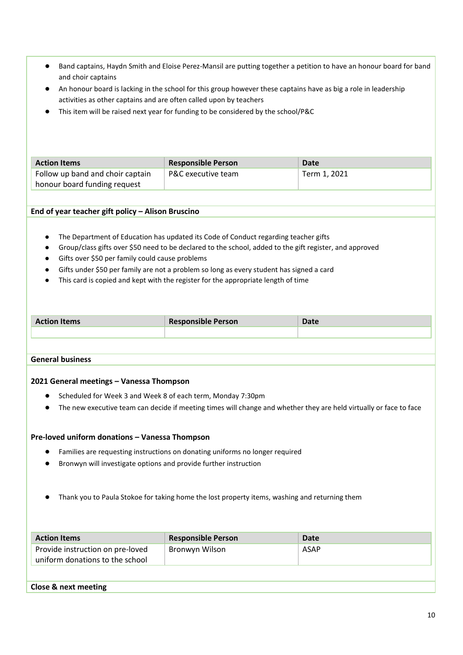- Band captains, Haydn Smith and Eloise Perez-Mansil are putting together a petition to have an honour board for band and choir captains
- An honour board is lacking in the school for this group however these captains have as big a role in leadership activities as other captains and are often called upon by teachers
- This item will be raised next year for funding to be considered by the school/P&C

| <b>Action Items</b>              | <b>Responsible Person</b> | Date         |
|----------------------------------|---------------------------|--------------|
| Follow up band and choir captain | P&C executive team        | Term 1, 2021 |
| honour board funding request     |                           |              |

#### **End of year teacher gift policy – Alison Bruscino**

- The Department of Education has updated its Code of Conduct regarding teacher gifts
- Group/class gifts over \$50 need to be declared to the school, added to the gift register, and approved
- Gifts over \$50 per family could cause problems
- Gifts under \$50 per family are not a problem so long as every student has signed a card
- This card is copied and kept with the register for the appropriate length of time

| <b>Action Items</b> | <b>Responsible Person</b> | Date |
|---------------------|---------------------------|------|
|                     |                           |      |

#### **General business**

#### **2021 General meetings – Vanessa Thompson**

- Scheduled for Week 3 and Week 8 of each term, Monday 7:30pm
- The new executive team can decide if meeting times will change and whether they are held virtually or face to face

#### **Pre-loved uniform donations – Vanessa Thompson**

- Families are requesting instructions on donating uniforms no longer required
- Bronwyn will investigate options and provide further instruction
- Thank you to Paula Stokoe for taking home the lost property items, washing and returning them

| <b>Action Items</b>                                                 | <b>Responsible Person</b> | Date |
|---------------------------------------------------------------------|---------------------------|------|
| Provide instruction on pre-loved<br>uniform donations to the school | Bronwyn Wilson            | ASAP |

#### **Close & next meeting**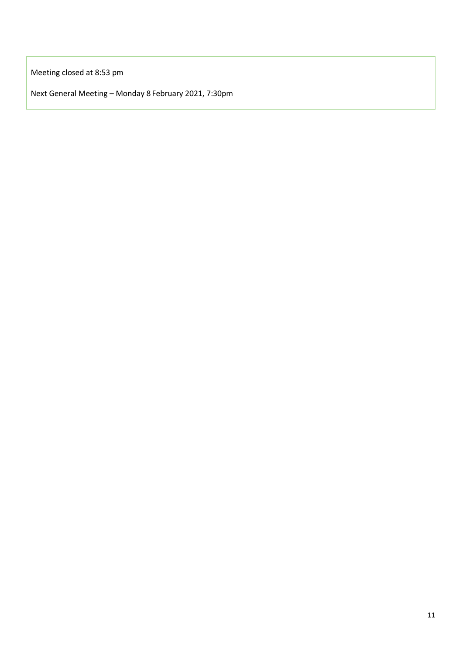Meeting closed at 8:53 pm

Next General Meeting – Monday 8 February 2021, 7:30pm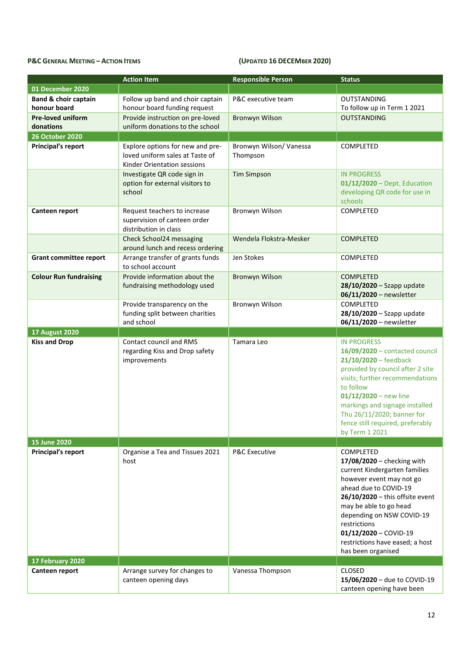## **P&C GENERAL MEETING – ACTION ITEMS CONSUMPTED 16 CONSUMPTED 16 DECEMBER 2020**

|                                    | <b>Action Item</b>                                                                                 | <b>Responsible Person</b>           | <b>Status</b>                                                                                                                                                                                                                                                                                                                        |
|------------------------------------|----------------------------------------------------------------------------------------------------|-------------------------------------|--------------------------------------------------------------------------------------------------------------------------------------------------------------------------------------------------------------------------------------------------------------------------------------------------------------------------------------|
| 01 December 2020                   |                                                                                                    |                                     |                                                                                                                                                                                                                                                                                                                                      |
| <b>Band &amp; choir captain</b>    | Follow up band and choir captain                                                                   | P&C executive team                  | <b>OUTSTANDING</b>                                                                                                                                                                                                                                                                                                                   |
| honour board                       | honour board funding request                                                                       |                                     | To follow up in Term 1 2021                                                                                                                                                                                                                                                                                                          |
| <b>Pre-loved uniform</b>           | Provide instruction on pre-loved                                                                   | <b>Bronwyn Wilson</b>               | <b>OUTSTANDING</b>                                                                                                                                                                                                                                                                                                                   |
| donations                          | uniform donations to the school                                                                    |                                     |                                                                                                                                                                                                                                                                                                                                      |
| <b>26 October 2020</b>             |                                                                                                    |                                     |                                                                                                                                                                                                                                                                                                                                      |
| <b>Principal's report</b>          | Explore options for new and pre-<br>loved uniform sales at Taste of<br>Kinder Orientation sessions | Bronwyn Wilson/ Vanessa<br>Thompson | COMPLETED                                                                                                                                                                                                                                                                                                                            |
|                                    | Investigate QR code sign in<br>option for external visitors to<br>school                           | <b>Tim Simpson</b>                  | <b>IN PROGRESS</b><br>$01/12/2020 -$ Dept. Education<br>developing QR code for use in<br>schools                                                                                                                                                                                                                                     |
| Canteen report                     | Request teachers to increase<br>supervision of canteen order<br>distribution in class              | Bronwyn Wilson                      | <b>COMPLETED</b>                                                                                                                                                                                                                                                                                                                     |
|                                    | Check School24 messaging<br>around lunch and recess ordering                                       | Wendela Flokstra-Mesker             | <b>COMPLETED</b>                                                                                                                                                                                                                                                                                                                     |
| <b>Grant committee report</b>      | Arrange transfer of grants funds<br>to school account                                              | Jen Stokes                          | COMPLETED                                                                                                                                                                                                                                                                                                                            |
| <b>Colour Run fundraising</b>      | Provide information about the<br>fundraising methodology used                                      | <b>Bronwyn Wilson</b>               | <b>COMPLETED</b><br>$28/10/2020 -$ Szapp update<br>06/11/2020 - newsletter                                                                                                                                                                                                                                                           |
|                                    | Provide transparency on the<br>funding split between charities<br>and school                       | Bronwyn Wilson                      | COMPLETED<br>$28/10/2020 -$ Szapp update<br>06/11/2020 - newsletter                                                                                                                                                                                                                                                                  |
|                                    |                                                                                                    |                                     |                                                                                                                                                                                                                                                                                                                                      |
| <b>17 August 2020</b>              |                                                                                                    |                                     |                                                                                                                                                                                                                                                                                                                                      |
| <b>Kiss and Drop</b>               | Contact council and RMS<br>regarding Kiss and Drop safety<br>improvements                          | Tamara Leo                          | <b>IN PROGRESS</b><br>16/09/2020 - contacted council<br>$21/10/2020$ – feedback<br>provided by council after 2 site<br>visits; further recommendations<br>to follow<br>$01/12/2020$ – new line<br>markings and signage installed<br>Thu 26/11/2020; banner for<br>fence still required, preferably<br>by Term 1 2021                 |
| 15 June 2020                       |                                                                                                    |                                     |                                                                                                                                                                                                                                                                                                                                      |
| Principal's report                 | Organise a Tea and Tissues 2021<br>host                                                            | <b>P&amp;C Executive</b>            | <b>COMPLETED</b><br>17/08/2020 – checking with<br>current Kindergarten families<br>however event may not go<br>ahead due to COVID-19<br>$26/10/2020$ - this offsite event<br>may be able to go head<br>depending on NSW COVID-19<br>restrictions<br>$01/12/2020 -$ COVID-19<br>restrictions have eased; a host<br>has been organised |
| 17 February 2020<br>Canteen report | Arrange survey for changes to                                                                      | Vanessa Thompson                    | <b>CLOSED</b>                                                                                                                                                                                                                                                                                                                        |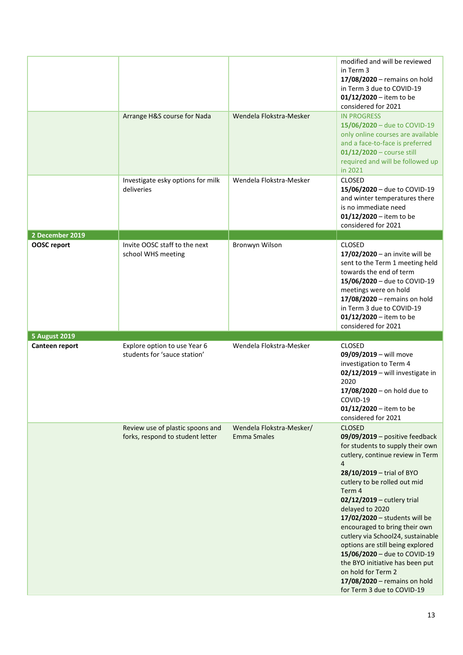|                                       |                                                                      |                                                | modified and will be reviewed<br>in Term 3<br>17/08/2020 - remains on hold<br>in Term 3 due to COVID-19<br>01/12/2020 – item to be<br>considered for 2021                                                                                                                                                                                                                                                                         |
|---------------------------------------|----------------------------------------------------------------------|------------------------------------------------|-----------------------------------------------------------------------------------------------------------------------------------------------------------------------------------------------------------------------------------------------------------------------------------------------------------------------------------------------------------------------------------------------------------------------------------|
|                                       | Arrange H&S course for Nada                                          | Wendela Flokstra-Mesker                        | <b>IN PROGRESS</b><br>15/06/2020 - due to COVID-19<br>only online courses are available<br>and a face-to-face is preferred<br>$01/12/2020$ – course still<br>required and will be followed up<br>in 2021                                                                                                                                                                                                                          |
|                                       | Investigate esky options for milk<br>deliveries                      | Wendela Flokstra-Mesker                        | <b>CLOSED</b><br>15/06/2020 - due to COVID-19<br>and winter temperatures there<br>is no immediate need<br>$01/12/2020 -$ item to be<br>considered for 2021                                                                                                                                                                                                                                                                        |
| 2 December 2019<br><b>OOSC</b> report | Invite OOSC staff to the next<br>school WHS meeting                  | Bronwyn Wilson                                 | <b>CLOSED</b><br>$17/02/2020$ – an invite will be<br>sent to the Term 1 meeting held<br>towards the end of term<br>15/06/2020 - due to COVID-19<br>meetings were on hold<br>17/08/2020 - remains on hold<br>in Term 3 due to COVID-19<br>$01/12/2020 -$ item to be<br>considered for 2021                                                                                                                                         |
| <b>5 August 2019</b>                  |                                                                      |                                                |                                                                                                                                                                                                                                                                                                                                                                                                                                   |
| Canteen report                        | Explore option to use Year 6<br>students for 'sauce station'         | Wendela Flokstra-Mesker                        | <b>CLOSED</b><br>09/09/2019 - will move<br>investigation to Term 4<br>02/12/2019 - will investigate in<br>2020<br>$17/08/2020 -$ on hold due to<br>COVID-19<br>$01/12/2020 -$ item to be<br>considered for 2021                                                                                                                                                                                                                   |
|                                       | Review use of plastic spoons and<br>forks, respond to student letter | Wendela Flokstra-Mesker/<br><b>Emma Smales</b> | <b>CLOSED</b><br>$09/09/2019$ – positive feedback<br>for students to supply their own<br>cutlery, continue review in Term<br>4<br>28/10/2019 - trial of BYO<br>cutlery to be rolled out mid<br>Term 4<br>02/12/2019 - cutlery trial<br>delayed to 2020<br>17/02/2020 - students will be<br>encouraged to bring their own<br>cutlery via School24, sustainable<br>options are still being explored<br>15/06/2020 - due to COVID-19 |